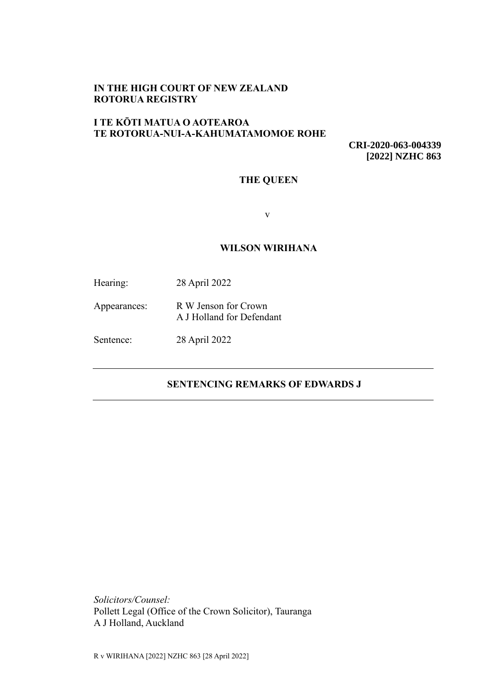## **IN THE HIGH COURT OF NEW ZEALAND ROTORUA REGISTRY**

# **I TE KŌTI MATUA O AOTEAROA TE ROTORUA-NUI-A-KAHUMATAMOMOE ROHE**

**CRI-2020-063-004339 [2022] NZHC 863**

## **THE QUEEN**

v

#### **WILSON WIRIHANA**

| Hearing: | 28 April 2022 |
|----------|---------------|
|          |               |

Appearances: R W Jenson for Crown A J Holland for Defendant

Sentence: 28 April 2022

# **SENTENCING REMARKS OF EDWARDS J**

*Solicitors/Counsel:* Pollett Legal (Office of the Crown Solicitor), Tauranga A J Holland, Auckland

R v WIRIHANA [2022] NZHC 863 [28 April 2022]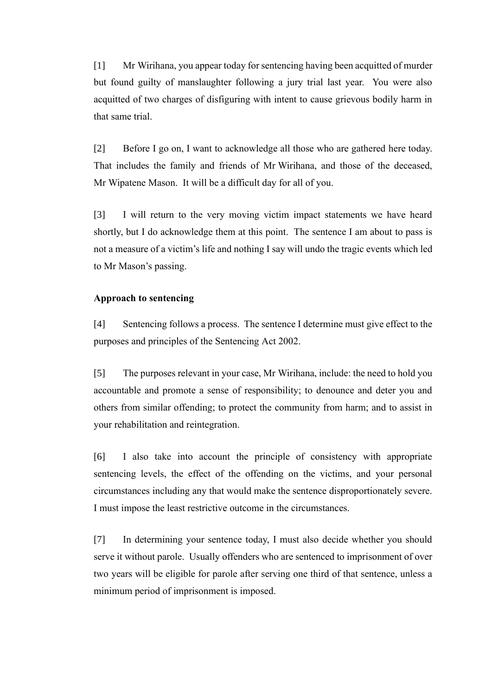[1] Mr Wirihana, you appear today for sentencing having been acquitted of murder but found guilty of manslaughter following a jury trial last year. You were also acquitted of two charges of disfiguring with intent to cause grievous bodily harm in that same trial.

[2] Before I go on, I want to acknowledge all those who are gathered here today. That includes the family and friends of Mr Wirihana, and those of the deceased, Mr Wipatene Mason. It will be a difficult day for all of you.

[3] I will return to the very moving victim impact statements we have heard shortly, but I do acknowledge them at this point. The sentence I am about to pass is not a measure of a victim's life and nothing I say will undo the tragic events which led to Mr Mason's passing.

#### **Approach to sentencing**

[4] Sentencing follows a process. The sentence I determine must give effect to the purposes and principles of the Sentencing Act 2002.

[5] The purposes relevant in your case, Mr Wirihana, include: the need to hold you accountable and promote a sense of responsibility; to denounce and deter you and others from similar offending; to protect the community from harm; and to assist in your rehabilitation and reintegration.

[6] I also take into account the principle of consistency with appropriate sentencing levels, the effect of the offending on the victims, and your personal circumstances including any that would make the sentence disproportionately severe. I must impose the least restrictive outcome in the circumstances.

[7] In determining your sentence today, I must also decide whether you should serve it without parole. Usually offenders who are sentenced to imprisonment of over two years will be eligible for parole after serving one third of that sentence, unless a minimum period of imprisonment is imposed.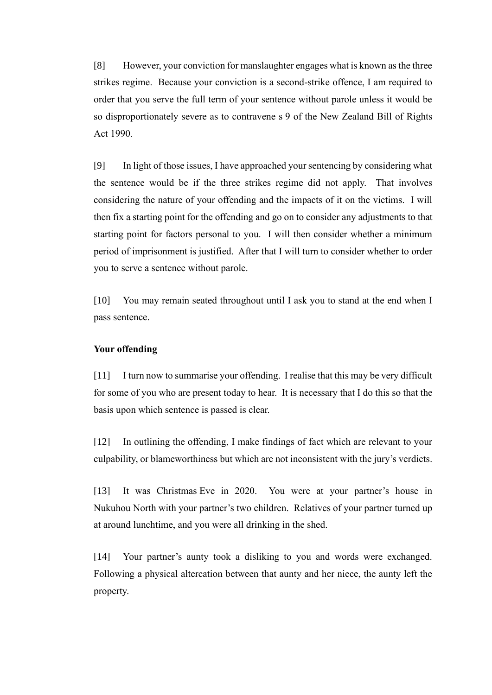[8] However, your conviction for manslaughter engages what is known as the three strikes regime. Because your conviction is a second-strike offence, I am required to order that you serve the full term of your sentence without parole unless it would be so disproportionately severe as to contravene s 9 of the New Zealand Bill of Rights Act 1990.

[9] In light of those issues, I have approached your sentencing by considering what the sentence would be if the three strikes regime did not apply. That involves considering the nature of your offending and the impacts of it on the victims. I will then fix a starting point for the offending and go on to consider any adjustments to that starting point for factors personal to you. I will then consider whether a minimum period of imprisonment is justified. After that I will turn to consider whether to order you to serve a sentence without parole.

[10] You may remain seated throughout until I ask you to stand at the end when I pass sentence.

### **Your offending**

[11] I turn now to summarise your offending. I realise that this may be very difficult for some of you who are present today to hear. It is necessary that I do this so that the basis upon which sentence is passed is clear.

[12] In outlining the offending, I make findings of fact which are relevant to your culpability, or blameworthiness but which are not inconsistent with the jury's verdicts.

[13] It was Christmas Eve in 2020. You were at your partner's house in Nukuhou North with your partner's two children. Relatives of your partner turned up at around lunchtime, and you were all drinking in the shed.

[14] Your partner's aunty took a disliking to you and words were exchanged. Following a physical altercation between that aunty and her niece, the aunty left the property.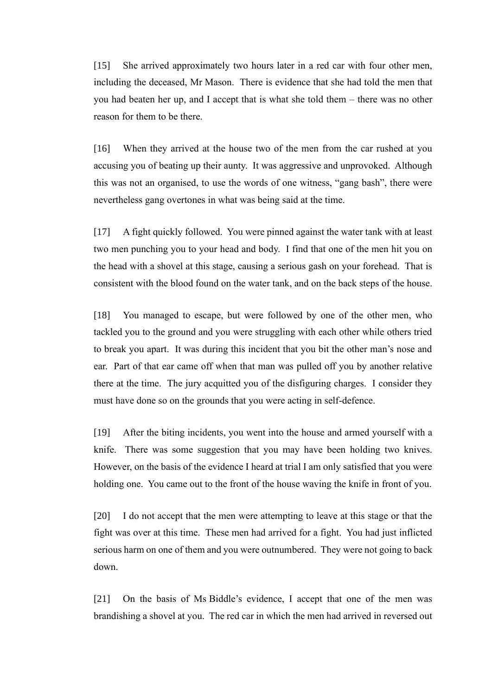[15] She arrived approximately two hours later in a red car with four other men, including the deceased, Mr Mason. There is evidence that she had told the men that you had beaten her up, and I accept that is what she told them – there was no other reason for them to be there.

[16] When they arrived at the house two of the men from the car rushed at you accusing you of beating up their aunty. It was aggressive and unprovoked. Although this was not an organised, to use the words of one witness, "gang bash", there were nevertheless gang overtones in what was being said at the time.

[17] A fight quickly followed. You were pinned against the water tank with at least two men punching you to your head and body. I find that one of the men hit you on the head with a shovel at this stage, causing a serious gash on your forehead. That is consistent with the blood found on the water tank, and on the back steps of the house.

[18] You managed to escape, but were followed by one of the other men, who tackled you to the ground and you were struggling with each other while others tried to break you apart. It was during this incident that you bit the other man's nose and ear. Part of that ear came off when that man was pulled off you by another relative there at the time. The jury acquitted you of the disfiguring charges. I consider they must have done so on the grounds that you were acting in self-defence.

[19] After the biting incidents, you went into the house and armed yourself with a knife. There was some suggestion that you may have been holding two knives. However, on the basis of the evidence I heard at trial I am only satisfied that you were holding one. You came out to the front of the house waving the knife in front of you.

[20] I do not accept that the men were attempting to leave at this stage or that the fight was over at this time. These men had arrived for a fight. You had just inflicted serious harm on one of them and you were outnumbered. They were not going to back down.

[21] On the basis of Ms Biddle's evidence, I accept that one of the men was brandishing a shovel at you. The red car in which the men had arrived in reversed out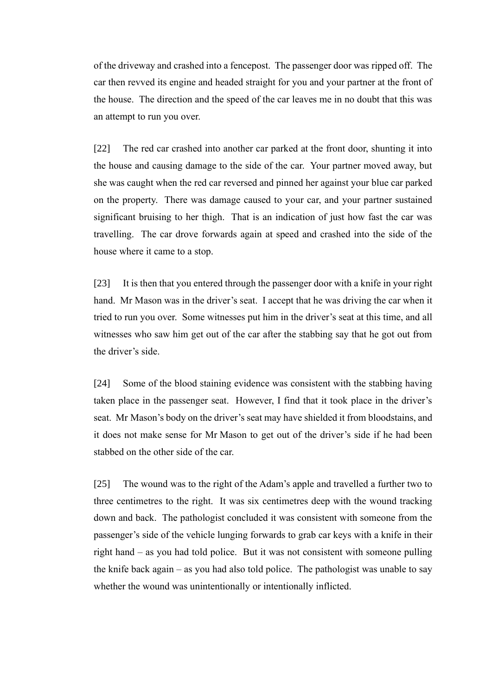of the driveway and crashed into a fencepost. The passenger door was ripped off. The car then revved its engine and headed straight for you and your partner at the front of the house. The direction and the speed of the car leaves me in no doubt that this was an attempt to run you over.

[22] The red car crashed into another car parked at the front door, shunting it into the house and causing damage to the side of the car. Your partner moved away, but she was caught when the red car reversed and pinned her against your blue car parked on the property. There was damage caused to your car, and your partner sustained significant bruising to her thigh. That is an indication of just how fast the car was travelling. The car drove forwards again at speed and crashed into the side of the house where it came to a stop.

[23] It is then that you entered through the passenger door with a knife in your right hand. Mr Mason was in the driver's seat. I accept that he was driving the car when it tried to run you over. Some witnesses put him in the driver's seat at this time, and all witnesses who saw him get out of the car after the stabbing say that he got out from the driver's side.

[24] Some of the blood staining evidence was consistent with the stabbing having taken place in the passenger seat. However, I find that it took place in the driver's seat. Mr Mason's body on the driver's seat may have shielded it from bloodstains, and it does not make sense for Mr Mason to get out of the driver's side if he had been stabbed on the other side of the car.

[25] The wound was to the right of the Adam's apple and travelled a further two to three centimetres to the right. It was six centimetres deep with the wound tracking down and back. The pathologist concluded it was consistent with someone from the passenger's side of the vehicle lunging forwards to grab car keys with a knife in their right hand – as you had told police. But it was not consistent with someone pulling the knife back again – as you had also told police. The pathologist was unable to say whether the wound was unintentionally or intentionally inflicted.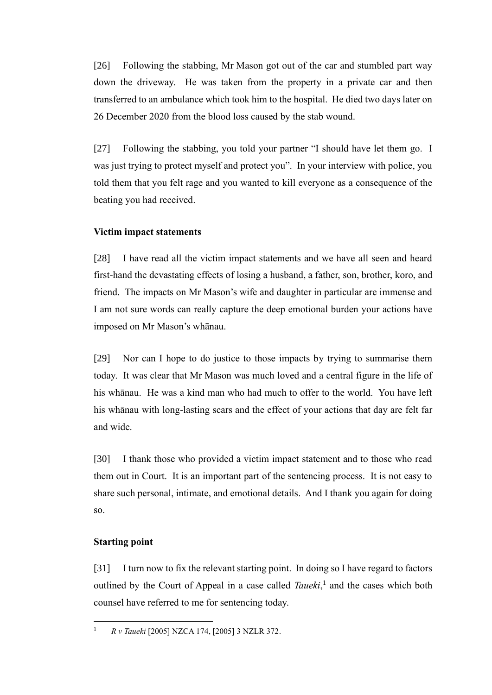[26] Following the stabbing, Mr Mason got out of the car and stumbled part way down the driveway. He was taken from the property in a private car and then transferred to an ambulance which took him to the hospital. He died two days later on 26 December 2020 from the blood loss caused by the stab wound.

[27] Following the stabbing, you told your partner "I should have let them go. I was just trying to protect myself and protect you". In your interview with police, you told them that you felt rage and you wanted to kill everyone as a consequence of the beating you had received.

## **Victim impact statements**

[28] I have read all the victim impact statements and we have all seen and heard first-hand the devastating effects of losing a husband, a father, son, brother, koro, and friend. The impacts on Mr Mason's wife and daughter in particular are immense and I am not sure words can really capture the deep emotional burden your actions have imposed on Mr Mason's whānau.

[29] Nor can I hope to do justice to those impacts by trying to summarise them today. It was clear that Mr Mason was much loved and a central figure in the life of his whānau. He was a kind man who had much to offer to the world. You have left his whānau with long-lasting scars and the effect of your actions that day are felt far and wide.

[30] I thank those who provided a victim impact statement and to those who read them out in Court. It is an important part of the sentencing process. It is not easy to share such personal, intimate, and emotional details. And I thank you again for doing so.

## **Starting point**

[31] I turn now to fix the relevant starting point. In doing so I have regard to factors outlined by the Court of Appeal in a case called *Taueki*, 1 and the cases which both counsel have referred to me for sentencing today.

<sup>1</sup> *R v Taueki* [2005] NZCA 174, [2005] 3 NZLR 372.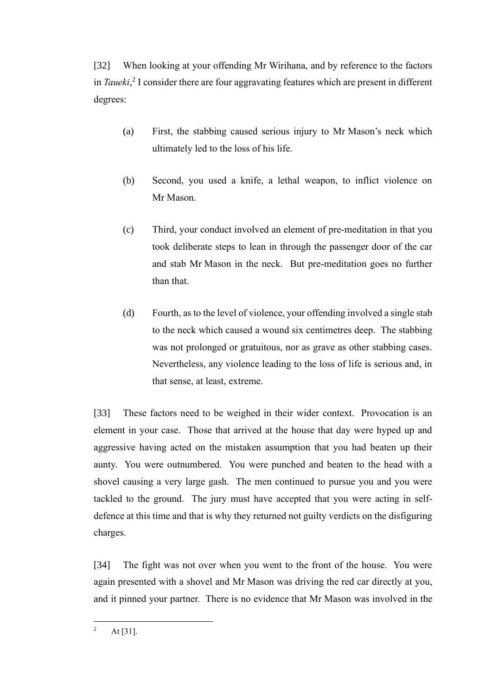[32] When looking at your offending Mr Wirihana, and by reference to the factors in *Taueki*, 2 I consider there are four aggravating features which are present in different degrees:

- (a) First, the stabbing caused serious injury to Mr Mason's neck which ultimately led to the loss of his life.
- (b) Second, you used a knife, a lethal weapon, to inflict violence on Mr Mason.
- (c) Third, your conduct involved an element of pre-meditation in that you took deliberate steps to lean in through the passenger door of the car and stab Mr Mason in the neck. But pre-meditation goes no further than that.
- (d) Fourth, as to the level of violence, your offending involved a single stab to the neck which caused a wound six centimetres deep. The stabbing was not prolonged or gratuitous, nor as grave as other stabbing cases. Nevertheless, any violence leading to the loss of life is serious and, in that sense, at least, extreme.

[33] These factors need to be weighed in their wider context. Provocation is an element in your case. Those that arrived at the house that day were hyped up and aggressive having acted on the mistaken assumption that you had beaten up their aunty. You were outnumbered. You were punched and beaten to the head with a shovel causing a very large gash. The men continued to pursue you and you were tackled to the ground. The jury must have accepted that you were acting in selfdefence at this time and that is why they returned not guilty verdicts on the disfiguring charges.

[34] The fight was not over when you went to the front of the house. You were again presented with a shovel and Mr Mason was driving the red car directly at you, and it pinned your partner. There is no evidence that Mr Mason was involved in the

<sup>&</sup>lt;sup>2</sup> At [31].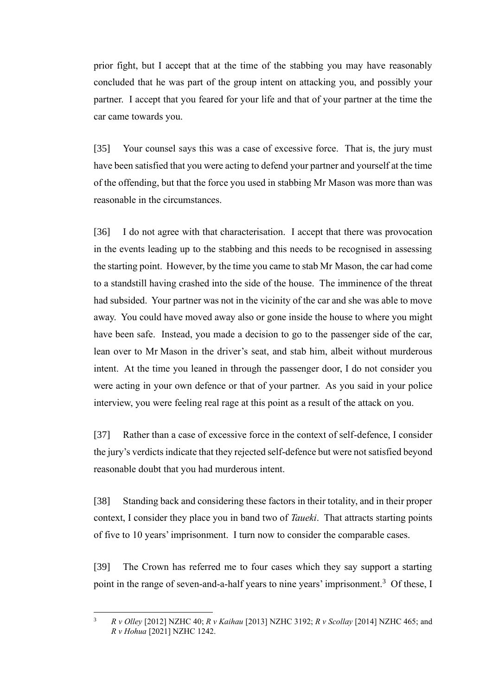prior fight, but I accept that at the time of the stabbing you may have reasonably concluded that he was part of the group intent on attacking you, and possibly your partner. I accept that you feared for your life and that of your partner at the time the car came towards you.

[35] Your counsel says this was a case of excessive force. That is, the jury must have been satisfied that you were acting to defend your partner and yourself at the time of the offending, but that the force you used in stabbing Mr Mason was more than was reasonable in the circumstances.

[36] I do not agree with that characterisation. I accept that there was provocation in the events leading up to the stabbing and this needs to be recognised in assessing the starting point. However, by the time you came to stab Mr Mason, the car had come to a standstill having crashed into the side of the house. The imminence of the threat had subsided. Your partner was not in the vicinity of the car and she was able to move away. You could have moved away also or gone inside the house to where you might have been safe. Instead, you made a decision to go to the passenger side of the car, lean over to Mr Mason in the driver's seat, and stab him, albeit without murderous intent. At the time you leaned in through the passenger door, I do not consider you were acting in your own defence or that of your partner. As you said in your police interview, you were feeling real rage at this point as a result of the attack on you.

[37] Rather than a case of excessive force in the context of self-defence, I consider the jury's verdicts indicate that they rejected self-defence but were not satisfied beyond reasonable doubt that you had murderous intent.

[38] Standing back and considering these factors in their totality, and in their proper context, I consider they place you in band two of *Taueki*. That attracts starting points of five to 10 years' imprisonment. I turn now to consider the comparable cases.

[39] The Crown has referred me to four cases which they say support a starting point in the range of seven-and-a-half years to nine years' imprisonment.<sup>3</sup> Of these, I

<sup>3</sup> *R v Olley* [2012] NZHC 40; *R v Kaihau* [2013] NZHC 3192; *R v Scollay* [2014] NZHC 465; and *R v Hohua* [2021] NZHC 1242.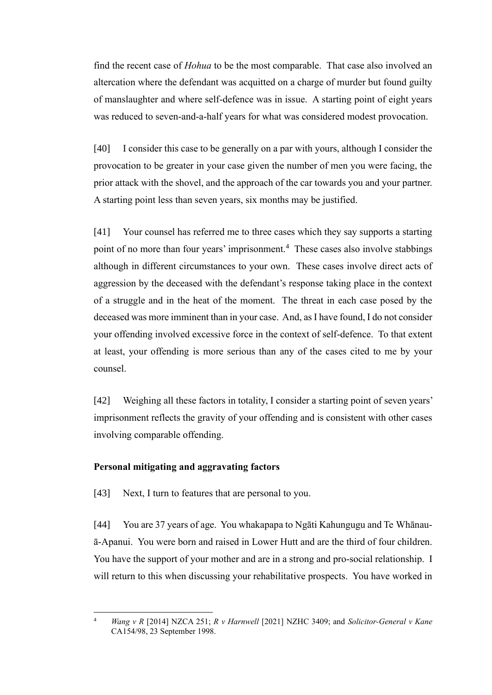find the recent case of *Hohua* to be the most comparable. That case also involved an altercation where the defendant was acquitted on a charge of murder but found guilty of manslaughter and where self-defence was in issue. A starting point of eight years was reduced to seven-and-a-half years for what was considered modest provocation.

[40] I consider this case to be generally on a par with yours, although I consider the provocation to be greater in your case given the number of men you were facing, the prior attack with the shovel, and the approach of the car towards you and your partner. A starting point less than seven years, six months may be justified.

[41] Your counsel has referred me to three cases which they say supports a starting point of no more than four years' imprisonment.<sup>4</sup> These cases also involve stabbings although in different circumstances to your own. These cases involve direct acts of aggression by the deceased with the defendant's response taking place in the context of a struggle and in the heat of the moment. The threat in each case posed by the deceased was more imminent than in your case. And, as I have found, I do not consider your offending involved excessive force in the context of self-defence. To that extent at least, your offending is more serious than any of the cases cited to me by your counsel.

[42] Weighing all these factors in totality, I consider a starting point of seven years' imprisonment reflects the gravity of your offending and is consistent with other cases involving comparable offending.

### **Personal mitigating and aggravating factors**

[43] Next, I turn to features that are personal to you.

[44] You are 37 years of age. You whakapapa to Ngāti Kahungugu and Te Whānauā-Apanui. You were born and raised in Lower Hutt and are the third of four children. You have the support of your mother and are in a strong and pro-social relationship. I will return to this when discussing your rehabilitative prospects. You have worked in

<sup>4</sup> *Wang v R* [2014] NZCA 251; *R v Harnwell* [2021] NZHC 3409; and *Solicitor-General v Kane*  CA154/98, 23 September 1998.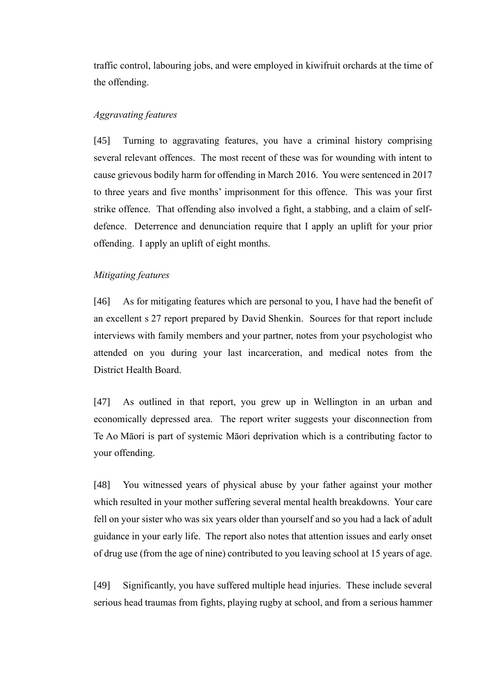traffic control, labouring jobs, and were employed in kiwifruit orchards at the time of the offending.

### *Aggravating features*

[45] Turning to aggravating features, you have a criminal history comprising several relevant offences. The most recent of these was for wounding with intent to cause grievous bodily harm for offending in March 2016. You were sentenced in 2017 to three years and five months' imprisonment for this offence. This was your first strike offence. That offending also involved a fight, a stabbing, and a claim of selfdefence. Deterrence and denunciation require that I apply an uplift for your prior offending. I apply an uplift of eight months.

### *Mitigating features*

[46] As for mitigating features which are personal to you, I have had the benefit of an excellent s 27 report prepared by David Shenkin. Sources for that report include interviews with family members and your partner, notes from your psychologist who attended on you during your last incarceration, and medical notes from the District Health Board.

[47] As outlined in that report, you grew up in Wellington in an urban and economically depressed area. The report writer suggests your disconnection from Te Ao Māori is part of systemic Māori deprivation which is a contributing factor to your offending.

[48] You witnessed years of physical abuse by your father against your mother which resulted in your mother suffering several mental health breakdowns. Your care fell on your sister who was six years older than yourself and so you had a lack of adult guidance in your early life. The report also notes that attention issues and early onset of drug use (from the age of nine) contributed to you leaving school at 15 years of age.

[49] Significantly, you have suffered multiple head injuries. These include several serious head traumas from fights, playing rugby at school, and from a serious hammer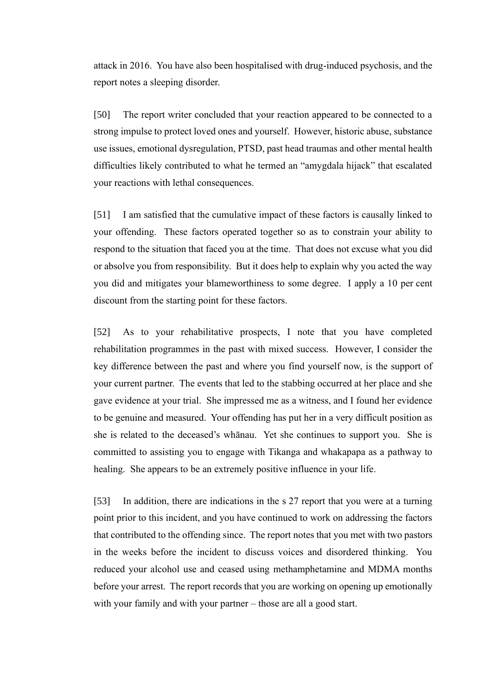attack in 2016. You have also been hospitalised with drug-induced psychosis, and the report notes a sleeping disorder.

[50] The report writer concluded that your reaction appeared to be connected to a strong impulse to protect loved ones and yourself. However, historic abuse, substance use issues, emotional dysregulation, PTSD, past head traumas and other mental health difficulties likely contributed to what he termed an "amygdala hijack" that escalated your reactions with lethal consequences.

[51] I am satisfied that the cumulative impact of these factors is causally linked to your offending. These factors operated together so as to constrain your ability to respond to the situation that faced you at the time. That does not excuse what you did or absolve you from responsibility. But it does help to explain why you acted the way you did and mitigates your blameworthiness to some degree. I apply a 10 per cent discount from the starting point for these factors.

[52] As to your rehabilitative prospects, I note that you have completed rehabilitation programmes in the past with mixed success. However, I consider the key difference between the past and where you find yourself now, is the support of your current partner. The events that led to the stabbing occurred at her place and she gave evidence at your trial. She impressed me as a witness, and I found her evidence to be genuine and measured. Your offending has put her in a very difficult position as she is related to the deceased's whānau. Yet she continues to support you. She is committed to assisting you to engage with Tikanga and whakapapa as a pathway to healing. She appears to be an extremely positive influence in your life.

[53] In addition, there are indications in the s 27 report that you were at a turning point prior to this incident, and you have continued to work on addressing the factors that contributed to the offending since. The report notes that you met with two pastors in the weeks before the incident to discuss voices and disordered thinking. You reduced your alcohol use and ceased using methamphetamine and MDMA months before your arrest. The report records that you are working on opening up emotionally with your family and with your partner – those are all a good start.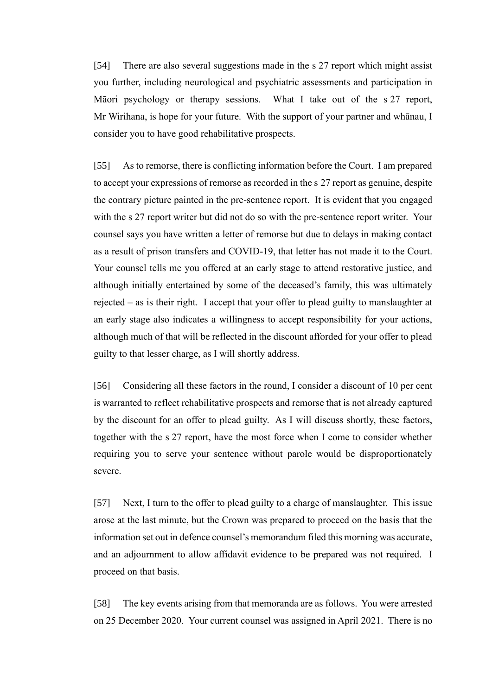[54] There are also several suggestions made in the s 27 report which might assist you further, including neurological and psychiatric assessments and participation in Māori psychology or therapy sessions. What I take out of the s 27 report, Mr Wirihana, is hope for your future. With the support of your partner and whānau, I consider you to have good rehabilitative prospects.

[55] As to remorse, there is conflicting information before the Court. I am prepared to accept your expressions of remorse as recorded in the s 27 report as genuine, despite the contrary picture painted in the pre-sentence report. It is evident that you engaged with the s 27 report writer but did not do so with the pre-sentence report writer. Your counsel says you have written a letter of remorse but due to delays in making contact as a result of prison transfers and COVID-19, that letter has not made it to the Court. Your counsel tells me you offered at an early stage to attend restorative justice, and although initially entertained by some of the deceased's family, this was ultimately rejected – as is their right. I accept that your offer to plead guilty to manslaughter at an early stage also indicates a willingness to accept responsibility for your actions, although much of that will be reflected in the discount afforded for your offer to plead guilty to that lesser charge, as I will shortly address.

[56] Considering all these factors in the round, I consider a discount of 10 per cent is warranted to reflect rehabilitative prospects and remorse that is not already captured by the discount for an offer to plead guilty. As I will discuss shortly, these factors, together with the s 27 report, have the most force when I come to consider whether requiring you to serve your sentence without parole would be disproportionately severe.

[57] Next, I turn to the offer to plead guilty to a charge of manslaughter. This issue arose at the last minute, but the Crown was prepared to proceed on the basis that the information set out in defence counsel's memorandum filed this morning was accurate, and an adjournment to allow affidavit evidence to be prepared was not required. I proceed on that basis.

[58] The key events arising from that memoranda are as follows. You were arrested on 25 December 2020. Your current counsel was assigned in April 2021. There is no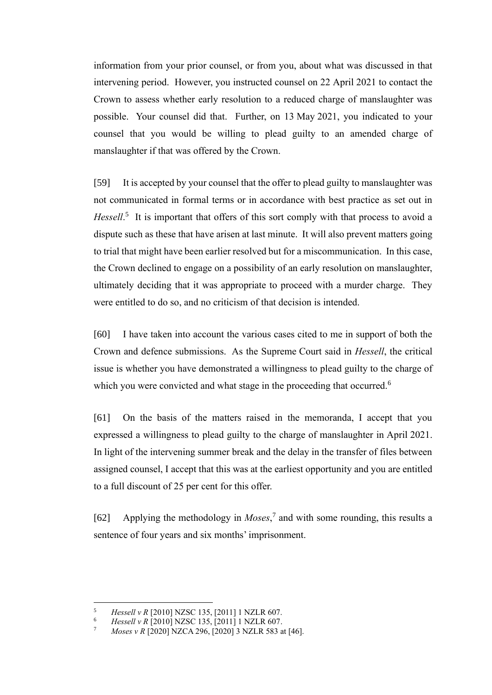information from your prior counsel, or from you, about what was discussed in that intervening period. However, you instructed counsel on 22 April 2021 to contact the Crown to assess whether early resolution to a reduced charge of manslaughter was possible. Your counsel did that. Further, on 13 May 2021, you indicated to your counsel that you would be willing to plead guilty to an amended charge of manslaughter if that was offered by the Crown.

[59] It is accepted by your counsel that the offer to plead guilty to manslaughter was not communicated in formal terms or in accordance with best practice as set out in Hessell.<sup>5</sup> It is important that offers of this sort comply with that process to avoid a dispute such as these that have arisen at last minute. It will also prevent matters going to trial that might have been earlier resolved but for a miscommunication. In this case, the Crown declined to engage on a possibility of an early resolution on manslaughter, ultimately deciding that it was appropriate to proceed with a murder charge. They were entitled to do so, and no criticism of that decision is intended.

[60] I have taken into account the various cases cited to me in support of both the Crown and defence submissions. As the Supreme Court said in *Hessell*, the critical issue is whether you have demonstrated a willingness to plead guilty to the charge of which you were convicted and what stage in the proceeding that occurred.<sup>6</sup>

[61] On the basis of the matters raised in the memoranda, I accept that you expressed a willingness to plead guilty to the charge of manslaughter in April 2021. In light of the intervening summer break and the delay in the transfer of files between assigned counsel, I accept that this was at the earliest opportunity and you are entitled to a full discount of 25 per cent for this offer.

[62] Applying the methodology in *Moses*, 7 and with some rounding, this results a sentence of four years and six months' imprisonment.

<sup>5</sup> *Hessell v R* [2010] NZSC 135, [2011] 1 NZLR 607.

<sup>6</sup> *Hessell v R* [2010] NZSC 135, [2011] 1 NZLR 607.

*Moses v R* [2020] NZCA 296, [2020] 3 NZLR 583 at [46].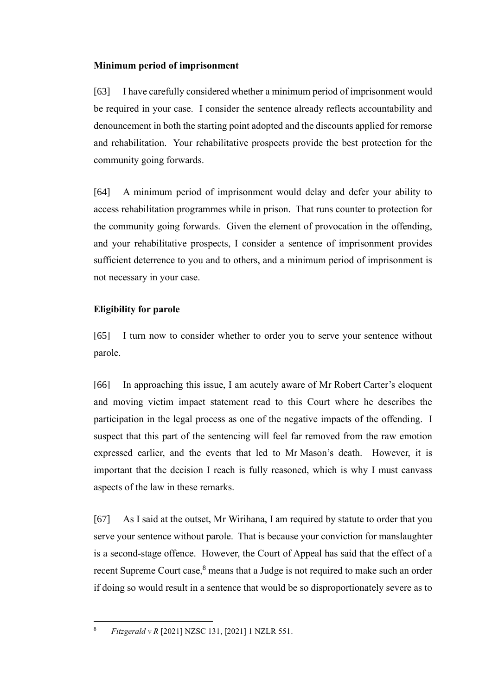## **Minimum period of imprisonment**

[63] I have carefully considered whether a minimum period of imprisonment would be required in your case. I consider the sentence already reflects accountability and denouncement in both the starting point adopted and the discounts applied for remorse and rehabilitation. Your rehabilitative prospects provide the best protection for the community going forwards.

[64] A minimum period of imprisonment would delay and defer your ability to access rehabilitation programmes while in prison. That runs counter to protection for the community going forwards. Given the element of provocation in the offending, and your rehabilitative prospects, I consider a sentence of imprisonment provides sufficient deterrence to you and to others, and a minimum period of imprisonment is not necessary in your case.

# **Eligibility for parole**

[65] I turn now to consider whether to order you to serve your sentence without parole.

[66] In approaching this issue, I am acutely aware of Mr Robert Carter's eloquent and moving victim impact statement read to this Court where he describes the participation in the legal process as one of the negative impacts of the offending. I suspect that this part of the sentencing will feel far removed from the raw emotion expressed earlier, and the events that led to Mr Mason's death. However, it is important that the decision I reach is fully reasoned, which is why I must canvass aspects of the law in these remarks.

[67] As I said at the outset, Mr Wirihana, I am required by statute to order that you serve your sentence without parole. That is because your conviction for manslaughter is a second-stage offence. However, the Court of Appeal has said that the effect of a recent Supreme Court case, $8$  means that a Judge is not required to make such an order if doing so would result in a sentence that would be so disproportionately severe as to

<sup>8</sup> *Fitzgerald v R* [2021] NZSC 131, [2021] 1 NZLR 551.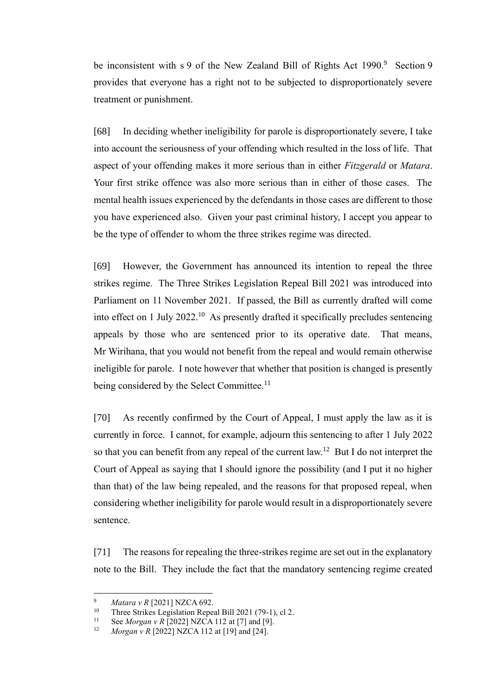be inconsistent with s 9 of the New Zealand Bill of Rights Act 1990.<sup>9</sup> Section 9 provides that everyone has a right not to be subjected to disproportionately severe treatment or punishment.

[68] In deciding whether ineligibility for parole is disproportionately severe, I take into account the seriousness of your offending which resulted in the loss of life. That aspect of your offending makes it more serious than in either *Fitzgerald* or *Matara*. Your first strike offence was also more serious than in either of those cases. The mental health issues experienced by the defendants in those cases are different to those you have experienced also. Given your past criminal history, I accept you appear to be the type of offender to whom the three strikes regime was directed.

[69] However, the Government has announced its intention to repeal the three strikes regime. The Three Strikes Legislation Repeal Bill 2021 was introduced into Parliament on 11 November 2021. If passed, the Bill as currently drafted will come into effect on 1 July  $2022$ .<sup>10</sup> As presently drafted it specifically precludes sentencing appeals by those who are sentenced prior to its operative date. That means, Mr Wirihana, that you would not benefit from the repeal and would remain otherwise ineligible for parole. I note however that whether that position is changed is presently being considered by the Select Committee.<sup>11</sup>

[70] As recently confirmed by the Court of Appeal, I must apply the law as it is currently in force. I cannot, for example, adjourn this sentencing to after 1 July 2022 so that you can benefit from any repeal of the current law.<sup>12</sup> But I do not interpret the Court of Appeal as saying that I should ignore the possibility (and I put it no higher than that) of the law being repealed, and the reasons for that proposed repeal, when considering whether ineligibility for parole would result in a disproportionately severe sentence.

[71] The reasons for repealing the three-strikes regime are set out in the explanatory note to the Bill. They include the fact that the mandatory sentencing regime created

<sup>&</sup>lt;sup>9</sup> *Matara v R* [2021] NZCA 692.<br><sup>10</sup> Three Strikes Legislation Repea

<sup>&</sup>lt;sup>10</sup> Three Strikes Legislation Repeal Bill 2021 (79-1), cl 2.<br><sup>11</sup> See Morgan v *B* [2022] NZCA 112 at [7] and [0]

<sup>11</sup> See *Morgan v R* [2022] NZCA 112 at [7] and [9].<br><sup>12</sup> Morgan v R [2022] NZCA 112 at [19] and [24]

*Morgan v R* [2022] NZCA 112 at [19] and [24].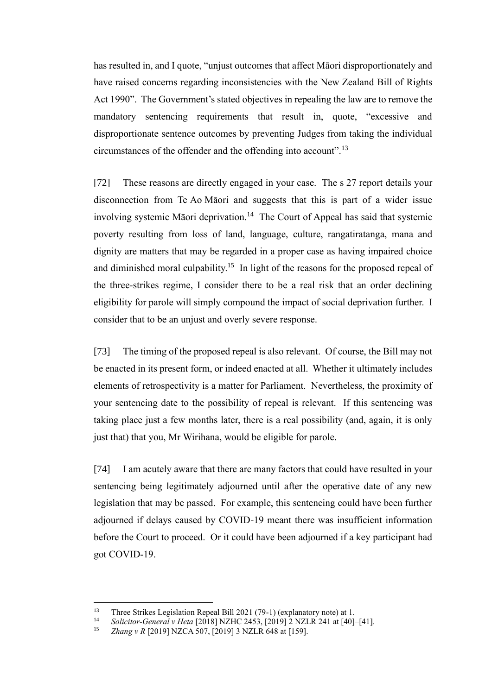has resulted in, and I quote, "unjust outcomes that affect Māori disproportionately and have raised concerns regarding inconsistencies with the New Zealand Bill of Rights Act 1990". The Government's stated objectives in repealing the law are to remove the mandatory sentencing requirements that result in, quote, "excessive and disproportionate sentence outcomes by preventing Judges from taking the individual circumstances of the offender and the offending into account".<sup>13</sup>

[72] These reasons are directly engaged in your case. The s 27 report details your disconnection from Te Ao Māori and suggests that this is part of a wider issue involving systemic Māori deprivation.<sup>14</sup> The Court of Appeal has said that systemic poverty resulting from loss of land, language, culture, rangatiratanga, mana and dignity are matters that may be regarded in a proper case as having impaired choice and diminished moral culpability.<sup>15</sup> In light of the reasons for the proposed repeal of the three-strikes regime, I consider there to be a real risk that an order declining eligibility for parole will simply compound the impact of social deprivation further. I consider that to be an unjust and overly severe response.

[73] The timing of the proposed repeal is also relevant. Of course, the Bill may not be enacted in its present form, or indeed enacted at all. Whether it ultimately includes elements of retrospectivity is a matter for Parliament. Nevertheless, the proximity of your sentencing date to the possibility of repeal is relevant. If this sentencing was taking place just a few months later, there is a real possibility (and, again, it is only just that) that you, Mr Wirihana, would be eligible for parole.

[74] I am acutely aware that there are many factors that could have resulted in your sentencing being legitimately adjourned until after the operative date of any new legislation that may be passed. For example, this sentencing could have been further adjourned if delays caused by COVID-19 meant there was insufficient information before the Court to proceed. Or it could have been adjourned if a key participant had got COVID-19.

<sup>&</sup>lt;sup>13</sup> Three Strikes Legislation Repeal Bill 2021 (79-1) (explanatory note) at 1.<br><sup>14</sup> Selisites Canagaly Heta [2019] N7UC 2452, [2019] 2 N7U P 241 of [40]

<sup>14</sup> *Solicitor-General v Heta* [2018] NZHC 2453, [2019] 2 NZLR 241 at [40]–[41].

<sup>15</sup> *Zhang v R* [2019] NZCA 507, [2019] 3 NZLR 648 at [159].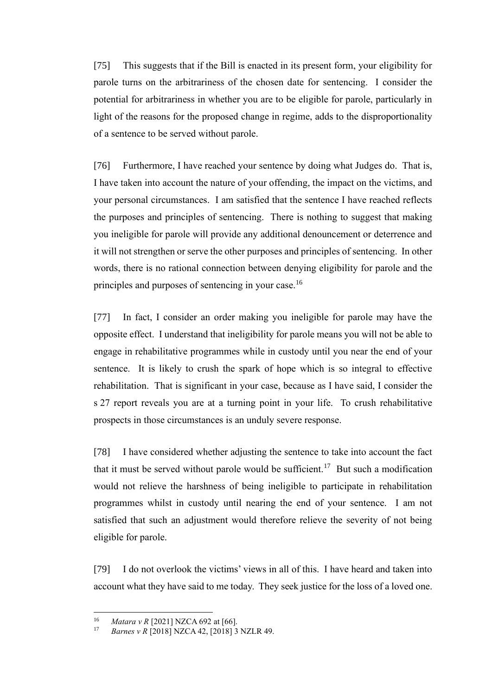[75] This suggests that if the Bill is enacted in its present form, your eligibility for parole turns on the arbitrariness of the chosen date for sentencing. I consider the potential for arbitrariness in whether you are to be eligible for parole, particularly in light of the reasons for the proposed change in regime, adds to the disproportionality of a sentence to be served without parole.

[76] Furthermore, I have reached your sentence by doing what Judges do. That is, I have taken into account the nature of your offending, the impact on the victims, and your personal circumstances. I am satisfied that the sentence I have reached reflects the purposes and principles of sentencing. There is nothing to suggest that making you ineligible for parole will provide any additional denouncement or deterrence and it will not strengthen or serve the other purposes and principles of sentencing. In other words, there is no rational connection between denying eligibility for parole and the principles and purposes of sentencing in your case.<sup>16</sup>

[77] In fact, I consider an order making you ineligible for parole may have the opposite effect. I understand that ineligibility for parole means you will not be able to engage in rehabilitative programmes while in custody until you near the end of your sentence. It is likely to crush the spark of hope which is so integral to effective rehabilitation. That is significant in your case, because as I have said, I consider the s 27 report reveals you are at a turning point in your life. To crush rehabilitative prospects in those circumstances is an unduly severe response.

[78] I have considered whether adjusting the sentence to take into account the fact that it must be served without parole would be sufficient.<sup>17</sup> But such a modification would not relieve the harshness of being ineligible to participate in rehabilitation programmes whilst in custody until nearing the end of your sentence. I am not satisfied that such an adjustment would therefore relieve the severity of not being eligible for parole.

[79] I do not overlook the victims' views in all of this. I have heard and taken into account what they have said to me today. They seek justice for the loss of a loved one.

<sup>16</sup> *Matara v R* [2021] NZCA 692 at [66].

*Barnes v R* [2018] NZCA 42, [2018] 3 NZLR 49.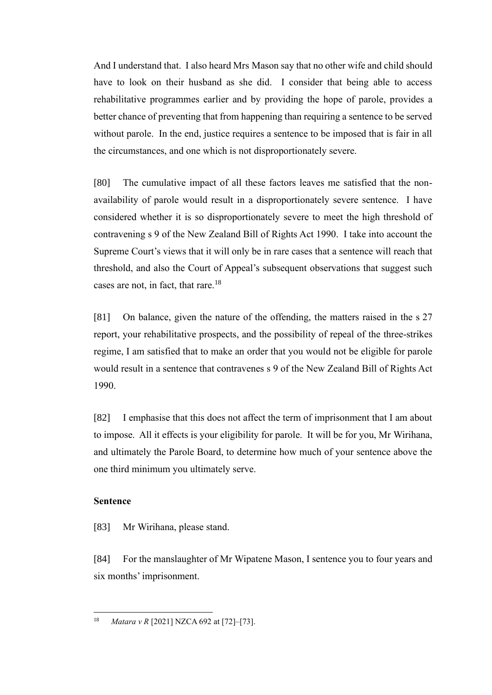And I understand that. I also heard Mrs Mason say that no other wife and child should have to look on their husband as she did. I consider that being able to access rehabilitative programmes earlier and by providing the hope of parole, provides a better chance of preventing that from happening than requiring a sentence to be served without parole. In the end, justice requires a sentence to be imposed that is fair in all the circumstances, and one which is not disproportionately severe.

[80] The cumulative impact of all these factors leaves me satisfied that the nonavailability of parole would result in a disproportionately severe sentence. I have considered whether it is so disproportionately severe to meet the high threshold of contravening s 9 of the New Zealand Bill of Rights Act 1990. I take into account the Supreme Court's views that it will only be in rare cases that a sentence will reach that threshold, and also the Court of Appeal's subsequent observations that suggest such cases are not, in fact, that rare.<sup>18</sup>

[81] On balance, given the nature of the offending, the matters raised in the s 27 report, your rehabilitative prospects, and the possibility of repeal of the three-strikes regime, I am satisfied that to make an order that you would not be eligible for parole would result in a sentence that contravenes s 9 of the New Zealand Bill of Rights Act 1990.

[82] I emphasise that this does not affect the term of imprisonment that I am about to impose. All it effects is your eligibility for parole. It will be for you, Mr Wirihana, and ultimately the Parole Board, to determine how much of your sentence above the one third minimum you ultimately serve.

## **Sentence**

[83] Mr Wirihana, please stand.

[84] For the manslaughter of Mr Wipatene Mason, I sentence you to four years and six months' imprisonment.

<sup>18</sup> *Matara v R* [2021] NZCA 692 at [72]–[73].